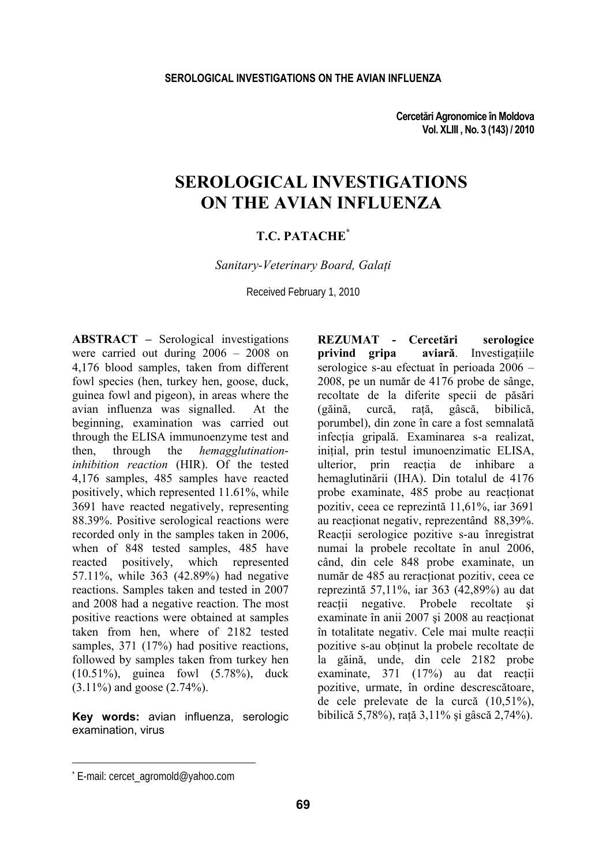**Cercetări Agronomice în Moldova Vol. XLIII , No. 3 (143) / 2010** 

# **SEROLOGICAL INVESTIGATIONS ON THE AVIAN INFLUENZA**

## **T.C. PATACHE\***

*Sanitary-Veterinary Board, Galaţi* 

Received February 1, 2010

**ABSTRACT –** Serological investigations were carried out during 2006 – 2008 on 4,176 blood samples, taken from different fowl species (hen, turkey hen, goose, duck, guinea fowl and pigeon), in areas where the avian influenza was signalled. At the beginning, examination was carried out through the ELISA immunoenzyme test and<br>then. through the *hemagglutination*then, through the *hemagglutinationinhibition reaction* (HIR). Of the tested 4,176 samples, 485 samples have reacted positively, which represented 11.61%, while 3691 have reacted negatively, representing 88.39%. Positive serological reactions were recorded only in the samples taken in 2006, when of 848 tested samples, 485 have reacted positively, which represented 57.11%, while 363 (42.89%) had negative reactions. Samples taken and tested in 2007 and 2008 had a negative reaction. The most positive reactions were obtained at samples taken from hen, where of 2182 tested samples, 371 (17%) had positive reactions, followed by samples taken from turkey hen (10.51%), guinea fowl (5.78%), duck (3.11%) and goose (2.74%).

**Key words:** avian influenza, serologic examination, virus

**REZUMAT - Cercetări serologice privind gripa aviară**. Investigațiile serologice s-au efectuat în perioada 2006 – 2008, pe un număr de 4176 probe de sânge, recoltate de la diferite specii de păsări<br>(găină, curcă, rată, gâscă, bibilică, (găină, curcă, raţă, gâscă, bibilică, porumbel), din zone în care a fost semnalată infecţia gripală. Examinarea s-a realizat, initial, prin testul imunoenzimatic ELISA. ulterior, prin reacția de inhibare a hemaglutinării (IHA). Din totalul de 4176 probe examinate, 485 probe au reacționat pozitiv, ceea ce reprezintă 11,61%, iar 3691 au reactionat negativ, reprezentând 88,39%. Reactii serologice pozitive s-au înregistrat numai la probele recoltate în anul 2006, când, din cele 848 probe examinate, un număr de 485 au reractionat pozitiv, ceea ce reprezintă 57,11%, iar 363 (42,89%) au dat reactii negative. Probele recoltate si examinate în anii 2007 și 2008 au reacționat în totalitate negativ. Cele mai multe reactii pozitive s-au obtinut la probele recoltate de la găină, unde, din cele 2182 probe examinate, 371 (17%) au dat reactii pozitive, urmate, în ordine descrescătoare, de cele prelevate de la curcă (10,51%), bibilică 5,78%), raţă 3,11% şi gâscă 2,74%).

l

<sup>\*</sup> E-mail: cercet\_agromold@yahoo.com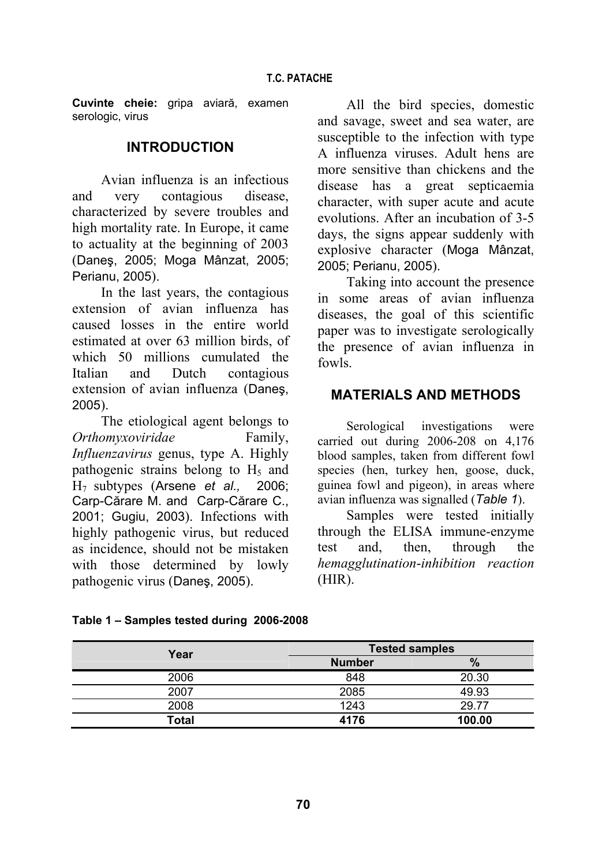**Cuvinte cheie:** gripa aviară, examen serologic, virus

## **INTRODUCTION**

Avian influenza is an infectious and very contagious disease, characterized by severe troubles and high mortality rate. In Europe, it came to actuality at the beginning of 2003 (Daneş, 2005; Moga Mânzat, 2005; Perianu, 2005).

In the last years, the contagious extension of avian influenza has caused losses in the entire world estimated at over 63 million birds, of which 50 millions cumulated the Italian and Dutch contagious extension of avian influenza (Daneş, 2005).

The etiological agent belongs to *Orthomyxoviridae* Family, *Influenzavirus* genus, type A. Highly pathogenic strains belong to  $H<sub>5</sub>$  and H7 subtypes (Arsene *et al.,* 2006; Carp-Cărare M. and Carp-Cărare C., 2001; Gugiu, 2003). Infections with highly pathogenic virus, but reduced as incidence, should not be mistaken with those determined by lowly pathogenic virus (Daneş, 2005).

All the bird species, domestic and savage, sweet and sea water, are susceptible to the infection with type A influenza viruses. Adult hens are more sensitive than chickens and the disease has a great septicaemia character, with super acute and acute evolutions. After an incubation of 3-5 days, the signs appear suddenly with explosive character (Moga Mânzat, 2005; Perianu, 2005).

Taking into account the presence in some areas of avian influenza diseases, the goal of this scientific paper was to investigate serologically the presence of avian influenza in fowls.

# **MATERIALS AND METHODS**

Serological investigations were carried out during 2006-208 on 4,176 blood samples, taken from different fowl species (hen, turkey hen, goose, duck, guinea fowl and pigeon), in areas where avian influenza was signalled (*Table 1*).

Samples were tested initially through the ELISA immune-enzyme test and, then, through the *hemagglutination*-*inhibition reaction* (HIR).

| Year  | <b>Tested samples</b> |        |  |  |  |
|-------|-----------------------|--------|--|--|--|
|       | <b>Number</b>         | $\%$   |  |  |  |
| 2006  | 848                   | 20.30  |  |  |  |
| 2007  | 2085                  | 49.93  |  |  |  |
| 2008  | 1243                  | 29.77  |  |  |  |
| Total | 4176                  | 100.00 |  |  |  |

## **Table 1 – Samples tested during 2006-2008**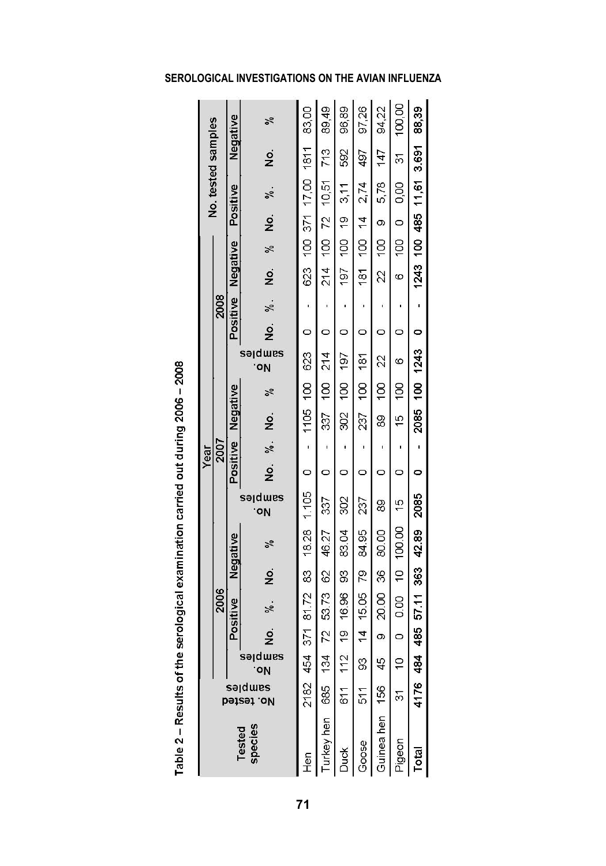|  |                            |      | Negative             | %                         | 83.00              | 89,49              | 96,89    | 97,26            | 94,22    | 100,00                | 88,39                    |  |
|--|----------------------------|------|----------------------|---------------------------|--------------------|--------------------|----------|------------------|----------|-----------------------|--------------------------|--|
|  | No. tested samples         |      |                      | $\frac{1}{2}$             |                    | 713                | 592      | 497              | 147      | 57                    |                          |  |
|  |                            |      |                      | %.                        | 100 371 17,00 1811 |                    | 3,11     | 2,74             | 5,78     | 0.00                  | 1243 100 485 11.61 3.691 |  |
|  | 2008                       |      | Positive             | ş                         |                    |                    |          | $\frac{1}{4}$    | $\infty$ | $\circ$               |                          |  |
|  |                            |      |                      | ×,                        |                    | $100$ $72$ $10,51$ | 100 19   | $\overline{00}$  | SoL      | OOL                   |                          |  |
|  |                            |      | Negative             | ż                         | 623                | $\frac{4}{21}$     | 197      | 181              | 22       | Ø                     |                          |  |
|  |                            |      | Positive             | ž.                        | ï                  | ı                  | 1        | 1                | ı        | ĩ                     | ī                        |  |
|  |                            |      |                      | $\frac{1}{2}$             | $\circ$            | $\circ$            | $\circ$  | 0                | 0        | 0                     | $\circ$                  |  |
|  |                            |      |                      | sə dwes<br>oŅ             |                    | 214                | 197      | 181              | 22       | O                     |                          |  |
|  |                            | 2007 | Negative             | %                         |                    | $\frac{8}{1}$      | OOL      | $\overline{100}$ | S0       | OOL                   |                          |  |
|  |                            |      |                      | ż                         | 1105 100 623       | 337                | 302      | 237              | 89       | 40                    | 2085 100 1243            |  |
|  | Year                       |      | Positive             | ž.                        | Ţ                  | ï                  | ĵ        | ı                | ï        | ï                     | ï                        |  |
|  |                            |      |                      | g                         | $\circ$            | $\circ$            | $\circ$  | O                | O        | 0                     | $\circ$                  |  |
|  |                            |      |                      | səlqms<br>.oV             |                    | 337                | 302      | 237              | 89       | $\frac{5}{1}$         | 2085                     |  |
|  |                            | 2006 | Negative<br>Positive | ž                         | 18.28 1.105        | 46.27              | 83.04    | 84.95            | 80.00    |                       |                          |  |
|  |                            |      |                      | ş                         |                    |                    | SS       | 79               | 36       |                       |                          |  |
|  |                            |      |                      | ž.                        | 454 371 81.72 83   | 53.73 62           | 16.96    | 15.05            | 20.00    | 0.00 10 100.00        | 484 485 57.11 363 42.89  |  |
|  |                            |      |                      | g                         |                    | 72                 | <b>o</b> | $\overline{4}$   | $\infty$ | $\circ$               |                          |  |
|  |                            |      |                      | ,<br>sə <sub>l</sub> dwes |                    | 134                | 112      | 3                | 45       | $\frac{1}{2}$         |                          |  |
|  | ı<br>səjdwes<br>No. tested |      |                      |                           | 2182               | 685                | 611      | 51               | 156      | 57                    | 4176                     |  |
|  | species<br><b>Tested</b>   |      |                      | <b>Hen</b>                | rkey hen           | nok<br>R           | Goose    | <b>Ga</b> hen    | Pigeon   | $\overline{\text{a}}$ |                          |  |

# Table 2 - Results of the serological examination carried out during 2006 - 2008

# **SEROLOGICAL INVESTIGATIONS ON THE AVIAN INFLUENZA**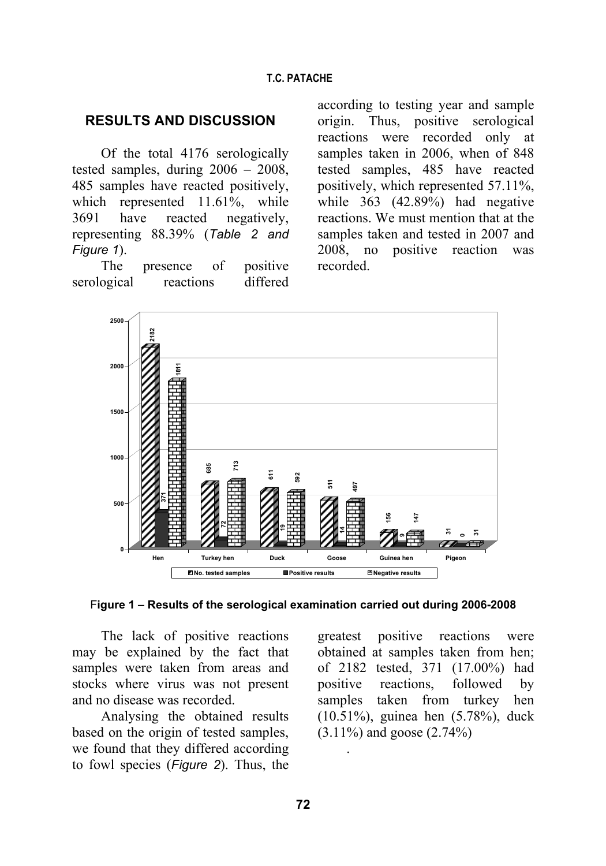# **RESULTS AND DISCUSSION**

Of the total 4176 serologically tested samples, during 2006 – 2008, 485 samples have reacted positively, which represented 11.61%, while 3691 have reacted negatively, representing 88.39% (*Table 2 and Figure 1*).

The presence of positive serological reactions differed according to testing year and sample origin. Thus, positive serological reactions were recorded only at samples taken in 2006, when of 848 tested samples, 485 have reacted positively, which represented 57.11%, while 363 (42.89%) had negative reactions. We must mention that at the samples taken and tested in 2007 and 2008, no positive reaction was recorded.



F**igure 1 – Results of the serological examination carried out during 2006-2008**

The lack of positive reactions may be explained by the fact that samples were taken from areas and stocks where virus was not present and no disease was recorded.

Analysing the obtained results based on the origin of tested samples, we found that they differed according to fowl species (*Figure 2*). Thus, the

greatest positive reactions were obtained at samples taken from hen; of 2182 tested, 371 (17.00%) had positive reactions, followed by samples taken from turkey hen (10.51%), guinea hen (5.78%), duck (3.11%) and goose (2.74%)

.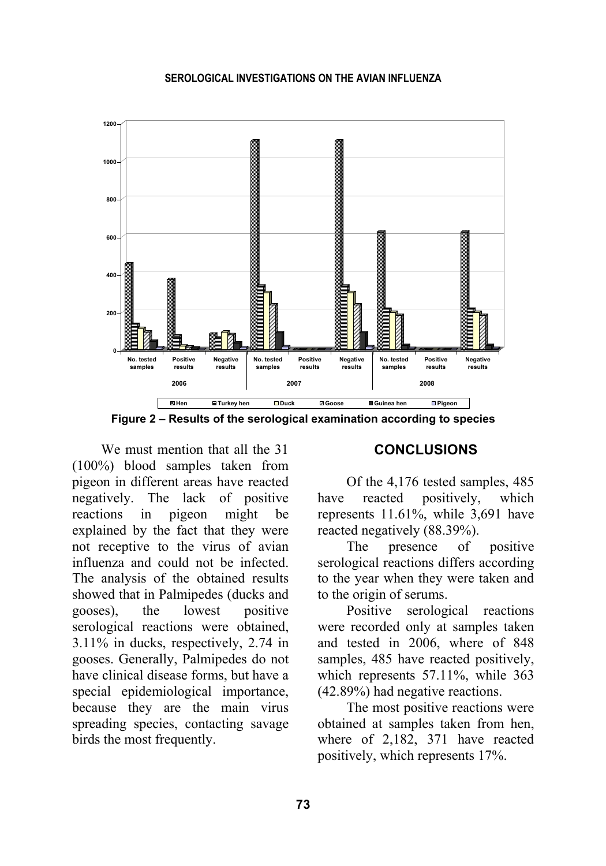

**Figure 2 – Results of the serological examination according to species** 

We must mention that all the 31 (100%) blood samples taken from pigeon in different areas have reacted negatively. The lack of positive reactions in pigeon might be explained by the fact that they were not receptive to the virus of avian influenza and could not be infected. The analysis of the obtained results showed that in Palmipedes (ducks and gooses), the lowest positive serological reactions were obtained, 3.11% in ducks, respectively, 2.74 in gooses. Generally, Palmipedes do not have clinical disease forms, but have a special epidemiological importance, because they are the main virus spreading species, contacting savage birds the most frequently.

## **CONCLUSIONS**

Of the 4,176 tested samples, 485 have reacted positively, which represents 11.61%, while 3,691 have reacted negatively (88.39%).

The presence of positive serological reactions differs according to the year when they were taken and to the origin of serums.

Positive serological reactions were recorded only at samples taken and tested in 2006, where of 848 samples, 485 have reacted positively, which represents 57.11%, while 363 (42.89%) had negative reactions.

The most positive reactions were obtained at samples taken from hen, where of 2,182, 371 have reacted positively, which represents 17%.